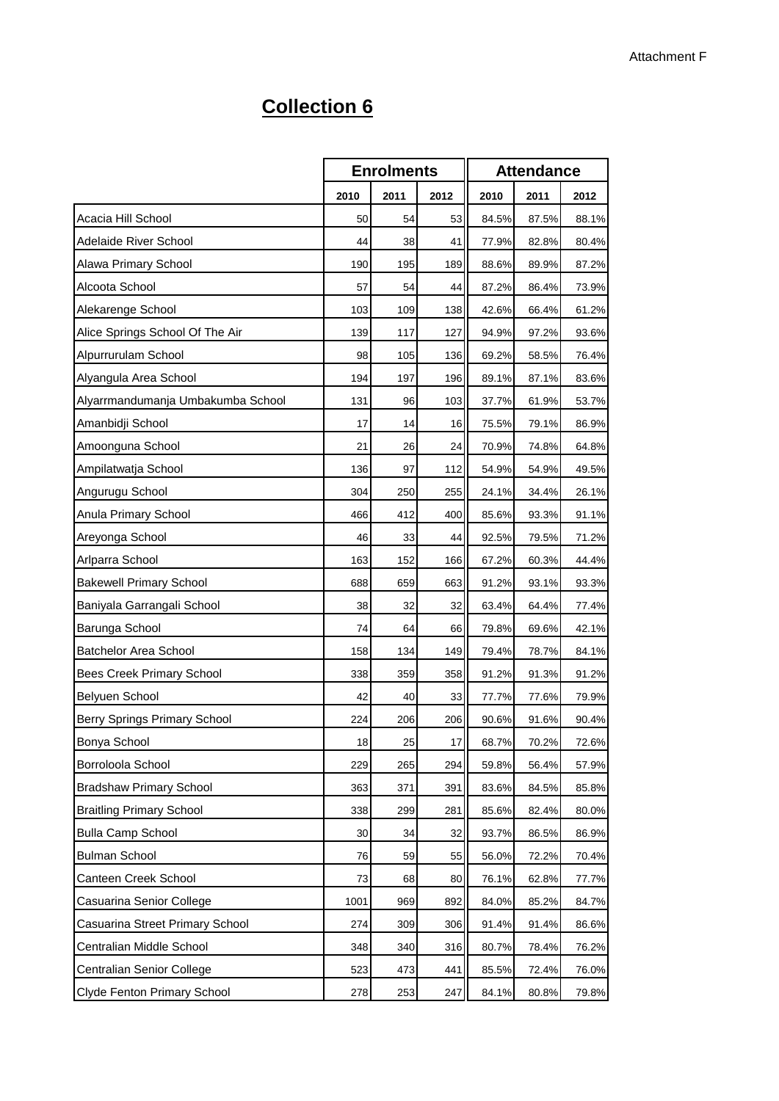## **Collection 6**

|                                     |      | <b>Enrolments</b> |      | <b>Attendance</b> |       |       |  |
|-------------------------------------|------|-------------------|------|-------------------|-------|-------|--|
|                                     | 2010 | 2011              | 2012 | 2010              | 2011  | 2012  |  |
| Acacia Hill School                  | 50   | 54                | 53   | 84.5%             | 87.5% | 88.1% |  |
| Adelaide River School               | 44   | 38                | 41   | 77.9%             | 82.8% | 80.4% |  |
| Alawa Primary School                | 190  | 195               | 189  | 88.6%             | 89.9% | 87.2% |  |
| Alcoota School                      | 57   | 54                | 44   | 87.2%             | 86.4% | 73.9% |  |
| Alekarenge School                   | 103  | 109               | 138  | 42.6%             | 66.4% | 61.2% |  |
| Alice Springs School Of The Air     | 139  | 117               | 127  | 94.9%             | 97.2% | 93.6% |  |
| Alpurrurulam School                 | 98   | 105               | 136  | 69.2%             | 58.5% | 76.4% |  |
| Alyangula Area School               | 194  | 197               | 196  | 89.1%             | 87.1% | 83.6% |  |
| Alyarrmandumanja Umbakumba School   | 131  | 96                | 103  | 37.7%             | 61.9% | 53.7% |  |
| Amanbidji School                    | 17   | 14                | 16   | 75.5%             | 79.1% | 86.9% |  |
| Amoonguna School                    | 21   | 26                | 24   | 70.9%             | 74.8% | 64.8% |  |
| Ampilatwatja School                 | 136  | 97                | 112  | 54.9%             | 54.9% | 49.5% |  |
| Angurugu School                     | 304  | 250               | 255  | 24.1%             | 34.4% | 26.1% |  |
| Anula Primary School                | 466  | 412               | 400  | 85.6%             | 93.3% | 91.1% |  |
| Areyonga School                     | 46   | 33                | 44   | 92.5%             | 79.5% | 71.2% |  |
| Arlparra School                     | 163  | 152               | 166  | 67.2%             | 60.3% | 44.4% |  |
| <b>Bakewell Primary School</b>      | 688  | 659               | 663  | 91.2%             | 93.1% | 93.3% |  |
| Baniyala Garrangali School          | 38   | 32                | 32   | 63.4%             | 64.4% | 77.4% |  |
| Barunga School                      | 74   | 64                | 66   | 79.8%             | 69.6% | 42.1% |  |
| <b>Batchelor Area School</b>        | 158  | 134               | 149  | 79.4%             | 78.7% | 84.1% |  |
| Bees Creek Primary School           | 338  | 359               | 358  | 91.2%             | 91.3% | 91.2% |  |
| Belyuen School                      | 42   | 40                | 33   | 77.7%             | 77.6% | 79.9% |  |
| <b>Berry Springs Primary School</b> | 224  | 206               | 206  | 90.6%             | 91.6% | 90.4% |  |
| Bonya School                        | 18   | 25                | 17   | 68.7%             | 70.2% | 72.6% |  |
| Borroloola School                   | 229  | 265               | 294  | 59.8%             | 56.4% | 57.9% |  |
| <b>Bradshaw Primary School</b>      | 363  | 371               | 391  | 83.6%             | 84.5% | 85.8% |  |
| <b>Braitling Primary School</b>     | 338  | 299               | 281  | 85.6%             | 82.4% | 80.0% |  |
| <b>Bulla Camp School</b>            | 30   | 34                | 32   | 93.7%             | 86.5% | 86.9% |  |
| <b>Bulman School</b>                | 76   | 59                | 55   | 56.0%             | 72.2% | 70.4% |  |
| Canteen Creek School                | 73   | 68                | 80   | 76.1%             | 62.8% | 77.7% |  |
| Casuarina Senior College            | 1001 | 969               | 892  | 84.0%             | 85.2% | 84.7% |  |
| Casuarina Street Primary School     | 274  | 309               | 306  | 91.4%             | 91.4% | 86.6% |  |
| Centralian Middle School            | 348  | 340               | 316  | 80.7%             | 78.4% | 76.2% |  |
| Centralian Senior College           | 523  | 473               | 441  | 85.5%             | 72.4% | 76.0% |  |
| Clyde Fenton Primary School         | 278  | 253               | 247  | 84.1%             | 80.8% | 79.8% |  |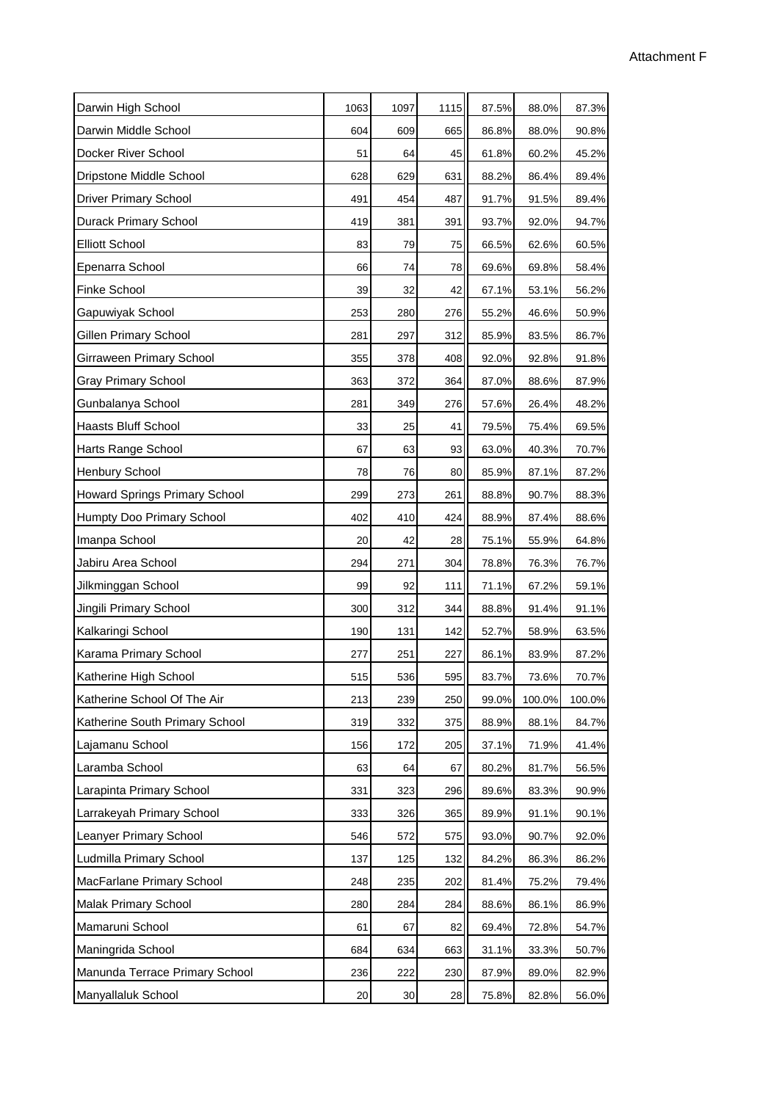| Darwin High School                   | 1063 | 1097 | 1115 | 87.5% | 88.0%  | 87.3%  |  |
|--------------------------------------|------|------|------|-------|--------|--------|--|
| Darwin Middle School                 | 604  | 609  | 665  | 86.8% | 88.0%  | 90.8%  |  |
| Docker River School                  | 51   | 64   | 45   | 61.8% | 60.2%  | 45.2%  |  |
| Dripstone Middle School              | 628  | 629  | 631  | 88.2% | 86.4%  | 89.4%  |  |
| <b>Driver Primary School</b>         | 491  | 454  | 487  | 91.7% | 91.5%  | 89.4%  |  |
| Durack Primary School                | 419  | 381  | 391  | 93.7% | 92.0%  | 94.7%  |  |
| <b>Elliott School</b>                | 83   | 79   | 75   | 66.5% | 62.6%  | 60.5%  |  |
| Epenarra School                      | 66   | 74   | 78   | 69.6% | 69.8%  | 58.4%  |  |
| Finke School                         | 39   | 32   | 42   | 67.1% | 53.1%  | 56.2%  |  |
| Gapuwiyak School                     | 253  | 280  | 276  | 55.2% | 46.6%  | 50.9%  |  |
| Gillen Primary School                | 281  | 297  | 312  | 85.9% | 83.5%  | 86.7%  |  |
| Girraween Primary School             | 355  | 378  | 408  | 92.0% | 92.8%  | 91.8%  |  |
| <b>Gray Primary School</b>           | 363  | 372  | 364  | 87.0% | 88.6%  | 87.9%  |  |
| Gunbalanya School                    | 281  | 349  | 276  | 57.6% | 26.4%  | 48.2%  |  |
| Haasts Bluff School                  | 33   | 25   | 41   | 79.5% | 75.4%  | 69.5%  |  |
| Harts Range School                   | 67   | 63   | 93   | 63.0% | 40.3%  | 70.7%  |  |
| Henbury School                       | 78   | 76   | 80   | 85.9% | 87.1%  | 87.2%  |  |
| <b>Howard Springs Primary School</b> | 299  | 273  | 261  | 88.8% | 90.7%  | 88.3%  |  |
| Humpty Doo Primary School            | 402  | 410  | 424  | 88.9% | 87.4%  | 88.6%  |  |
| Imanpa School                        | 20   | 42   | 28   | 75.1% | 55.9%  | 64.8%  |  |
| Jabiru Area School                   | 294  | 271  | 304  | 78.8% | 76.3%  | 76.7%  |  |
| Jilkminggan School                   | 99   | 92   | 111  | 71.1% | 67.2%  | 59.1%  |  |
| Jingili Primary School               | 300  | 312  | 344  | 88.8% | 91.4%  | 91.1%  |  |
| Kalkaringi School                    | 190  | 131  | 142  | 52.7% | 58.9%  | 63.5%  |  |
| Karama Primary School                | 277  | 251  | 227  | 86.1% | 83.9%  | 87.2%  |  |
| Katherine High School                | 515  | 536  | 595  | 83.7% | 73.6%  | 70.7%  |  |
| Katherine School Of The Air          | 213  | 239  | 250  | 99.0% | 100.0% | 100.0% |  |
| Katherine South Primary School       | 319  | 332  | 375  | 88.9% | 88.1%  | 84.7%  |  |
| Lajamanu School                      | 156  | 172  | 205  | 37.1% | 71.9%  | 41.4%  |  |
| Laramba School                       | 63   | 64   | 67   | 80.2% | 81.7%  | 56.5%  |  |
| Larapinta Primary School             | 331  | 323  | 296  | 89.6% | 83.3%  | 90.9%  |  |
| Larrakeyah Primary School            | 333  | 326  | 365  | 89.9% | 91.1%  | 90.1%  |  |
| Leanyer Primary School               | 546  | 572  | 575  | 93.0% | 90.7%  | 92.0%  |  |
| Ludmilla Primary School              | 137  | 125  | 132  | 84.2% | 86.3%  | 86.2%  |  |
| MacFarlane Primary School            | 248  | 235  | 202  | 81.4% | 75.2%  | 79.4%  |  |
| Malak Primary School                 | 280  | 284  | 284  | 88.6% | 86.1%  | 86.9%  |  |
| Mamaruni School                      | 61   | 67   | 82   | 69.4% | 72.8%  | 54.7%  |  |
| Maningrida School                    | 684  | 634  | 663  | 31.1% | 33.3%  | 50.7%  |  |
| Manunda Terrace Primary School       | 236  | 222  | 230  | 87.9% | 89.0%  | 82.9%  |  |
| Manyallaluk School                   | 20   | 30   | 28   | 75.8% | 82.8%  | 56.0%  |  |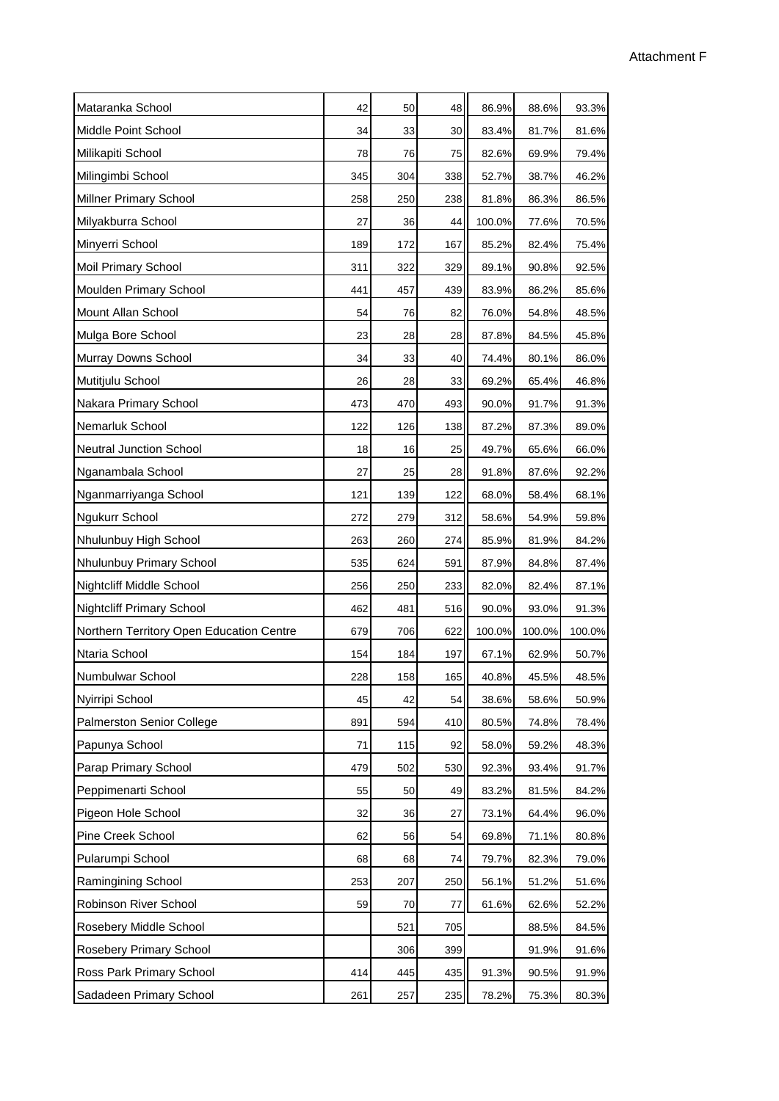| Mataranka School                         | 42  | 50  | 48              | 86.9%  | 88.6%  | 93.3%  |
|------------------------------------------|-----|-----|-----------------|--------|--------|--------|
| Middle Point School                      | 34  | 33  | 30 <sub>0</sub> | 83.4%  | 81.7%  | 81.6%  |
| Milikapiti School                        | 78  | 76  | 75              | 82.6%  | 69.9%  | 79.4%  |
| Milingimbi School                        | 345 | 304 | 338             | 52.7%  | 38.7%  | 46.2%  |
| <b>Millner Primary School</b>            | 258 | 250 | 238             | 81.8%  | 86.3%  | 86.5%  |
| Milyakburra School                       | 27  | 36  | 44              | 100.0% | 77.6%  | 70.5%  |
| Minyerri School                          | 189 | 172 | 167             | 85.2%  | 82.4%  | 75.4%  |
| <b>Moil Primary School</b>               | 311 | 322 | 329             | 89.1%  | 90.8%  | 92.5%  |
| Moulden Primary School                   | 441 | 457 | 439             | 83.9%  | 86.2%  | 85.6%  |
| Mount Allan School                       | 54  | 76  | 82              | 76.0%  | 54.8%  | 48.5%  |
| Mulga Bore School                        | 23  | 28  | 28              | 87.8%  | 84.5%  | 45.8%  |
| Murray Downs School                      | 34  | 33  | 40              | 74.4%  | 80.1%  | 86.0%  |
| Mutitjulu School                         | 26  | 28  | 33              | 69.2%  | 65.4%  | 46.8%  |
| Nakara Primary School                    | 473 | 470 | 493             | 90.0%  | 91.7%  | 91.3%  |
| Nemarluk School                          | 122 | 126 | 138             | 87.2%  | 87.3%  | 89.0%  |
| <b>Neutral Junction School</b>           | 18  | 16  | 25              | 49.7%  | 65.6%  | 66.0%  |
| Nganambala School                        | 27  | 25  | 28              | 91.8%  | 87.6%  | 92.2%  |
| Nganmarriyanga School                    | 121 | 139 | 122             | 68.0%  | 58.4%  | 68.1%  |
| Ngukurr School                           | 272 | 279 | 312             | 58.6%  | 54.9%  | 59.8%  |
| Nhulunbuy High School                    | 263 | 260 | 274             | 85.9%  | 81.9%  | 84.2%  |
| Nhulunbuy Primary School                 | 535 | 624 | 591             | 87.9%  | 84.8%  | 87.4%  |
| Nightcliff Middle School                 | 256 | 250 | 233             | 82.0%  | 82.4%  | 87.1%  |
| Nightcliff Primary School                | 462 | 481 | 516             | 90.0%  | 93.0%  | 91.3%  |
| Northern Territory Open Education Centre | 679 | 706 | 622             | 100.0% | 100.0% | 100.0% |
| Ntaria School                            | 154 | 184 | 197             | 67.1%  | 62.9%  | 50.7%  |
| Numbulwar School                         | 228 | 158 | 165             | 40.8%  | 45.5%  | 48.5%  |
| Nyirripi School                          | 45  | 42  | 54              | 38.6%  | 58.6%  | 50.9%  |
| <b>Palmerston Senior College</b>         | 891 | 594 | 410             | 80.5%  | 74.8%  | 78.4%  |
| Papunya School                           | 71  | 115 | 92              | 58.0%  | 59.2%  | 48.3%  |
| Parap Primary School                     | 479 | 502 | 530             | 92.3%  | 93.4%  | 91.7%  |
| Peppimenarti School                      | 55  | 50  | 49              | 83.2%  | 81.5%  | 84.2%  |
| Pigeon Hole School                       | 32  | 36  | 27              | 73.1%  | 64.4%  | 96.0%  |
| Pine Creek School                        | 62  | 56  | 54              | 69.8%  | 71.1%  | 80.8%  |
| Pularumpi School                         | 68  | 68  | 74              | 79.7%  | 82.3%  | 79.0%  |
| Ramingining School                       | 253 | 207 | 250             | 56.1%  | 51.2%  | 51.6%  |
| Robinson River School                    | 59  | 70  | 77              | 61.6%  | 62.6%  | 52.2%  |
| Rosebery Middle School                   |     | 521 | 705             |        | 88.5%  | 84.5%  |
| Rosebery Primary School                  |     | 306 | 399             |        | 91.9%  | 91.6%  |
| Ross Park Primary School                 | 414 | 445 | 435             | 91.3%  | 90.5%  | 91.9%  |
| Sadadeen Primary School                  | 261 | 257 | 235             | 78.2%  | 75.3%  | 80.3%  |